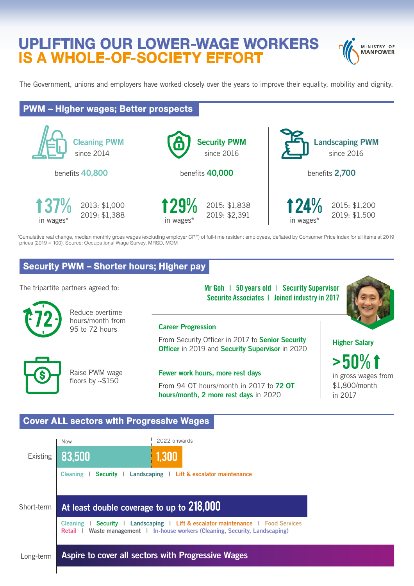# **UPLIFTING OUR LOWER-WAGE WORKERS IS A WHOLE-OF-SOCIETY EFFORT**



The Government, unions and employers have worked closely over the years to improve their equality, mobility and dignity.

## **PWM – Higher wages; Better prospects**



\*Cumulative real change, median monthly gross wages (excluding employer CPF) of full-time resident employees, deflated by Consumer Price Index for all items at 2019 prices (2019 = 100). Source: Occupational Wage Survey, MRSD, MOM

### **Security PWM – Shorter hours; Higher pay**



#### **Cover ALL sectors with Progressive Wages**